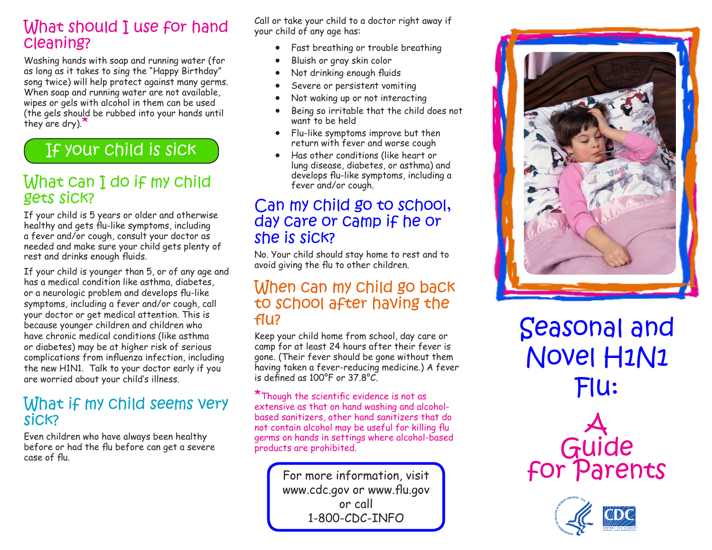### What should I use for hand cleaning?

Washing hands with soap and running water (for as long as it takes to sing the "Happy Birthday" song twice) will help protect against many germs. When soap and running water are not available, wipes or gels with alcohol in them can be used (the gels should be rubbed into your hands until they are dry).

# If your child is sick

### What can I do if my child gets sick?

If your child is 5 years or older and otherwise healthy and gets flu-like symptoms, including a fever and/or cough, consult your doctor as needed and make sure your child gets plenty of rest and drinks enough fluids.

If your child is younger than 5, or of any age and has a medical condition like asthma, diabetes, or a neurologic problem and develops flu-like symptoms, including a fever and/or cough, call your doctor or get medical attention. This is because younger children and children who have chronic medical conditions (like asthma or diabetes) may be at higher risk of serious complications from influenza infection, including the new H1N1. Talk to your doctor early if you are worried about your child's illness.

### What if my child seems very sick?

Even children who have always been healthy before or had the flu before can get a severe case of flu.

Call or take your child to a doctor right away if your child of any age has:

- Fast breathing or trouble breathing
- Bluish or gray skin color
- Not drinking enough fluids
- Severe or persistent vomiting
- Not waking up or not interacting
- Being so irritable that the child does not want to be held
- Flu-like symptoms improve but then return with fever and worse cough
- Has other conditions (like heart or lung disease, diabetes, or asthma) and develops flu-like symptoms, including a fever and/or cough.

### Can my child go to school, day care or camp if he or she is sick?

No. Your child should stay home to rest and to avoid giving the flu to other children.

#### When can my child go back to school after having the flu?

Keep your child home from school, day care or camp for at least 24 hours after their fever is gone. (Their fever should be gone without them having taken a fever-reducing medicine.) A fever is defined as 100°F or 37.8°C.

\*Though the scientific evidence is not as extensive as that on hand washing and alcoholbased sanitizers, other hand sanitizers that do not contain alcohol may be useful for killing flu germs on hands in settings where alcohol-based products are prohibited.

> For more information, visit www.cdc.gov or www.flu.gov or call 1-800-CDC-INFO



Seasonal and Novel H1N1 Flu: